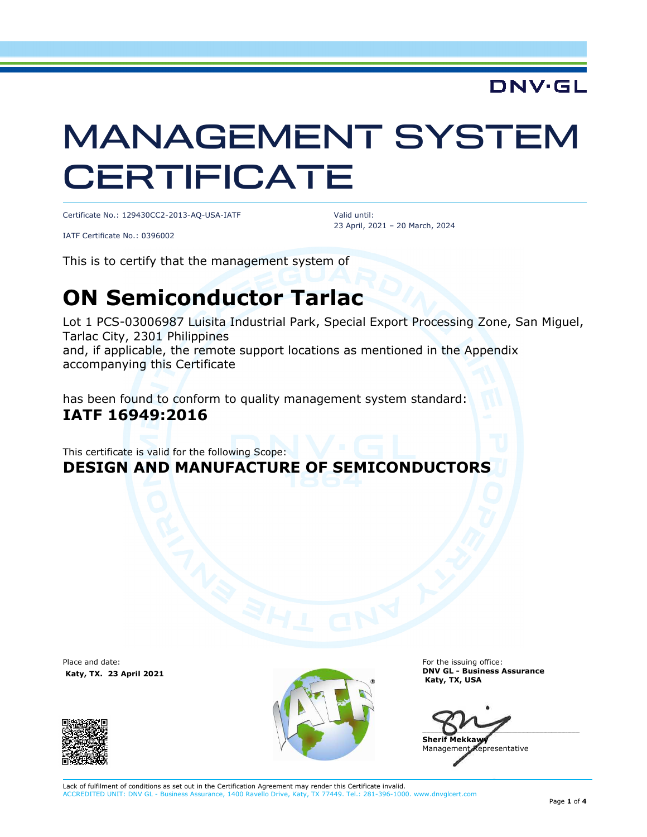## **DNV·GL**

# MANAGEMENT SYSTEM **CERTIFICATE**

Certificate No.: 129430CC2-2013-AQ-USA-IATF

Valid until: 23 April, 2021 – 20 March, 2024

IATF Certificate No.: 0396002

This is to certify that the management system of

# **ON Semiconductor Tarlac**

Lot 1 PCS-03006987 Luisita Industrial Park, Special Export Processing Zone, San Miguel, Tarlac City, 2301 Philippines and, if applicable, the remote support locations as mentioned in the Appendix accompanying this Certificate

has been found to conform to quality management system standard: **IATF 16949:2016** 

This certificate is valid for the following Scope: **DESIGN AND MANUFACTURE OF SEMICONDUCTORS**

Place and date:  **Katy, TX. 23 April 2021**





For the issuing office: **DNV GL - Business Assurance Katy, TX, USA** 

 $\Box$ **Sherif Mekkawy** 

Management Representative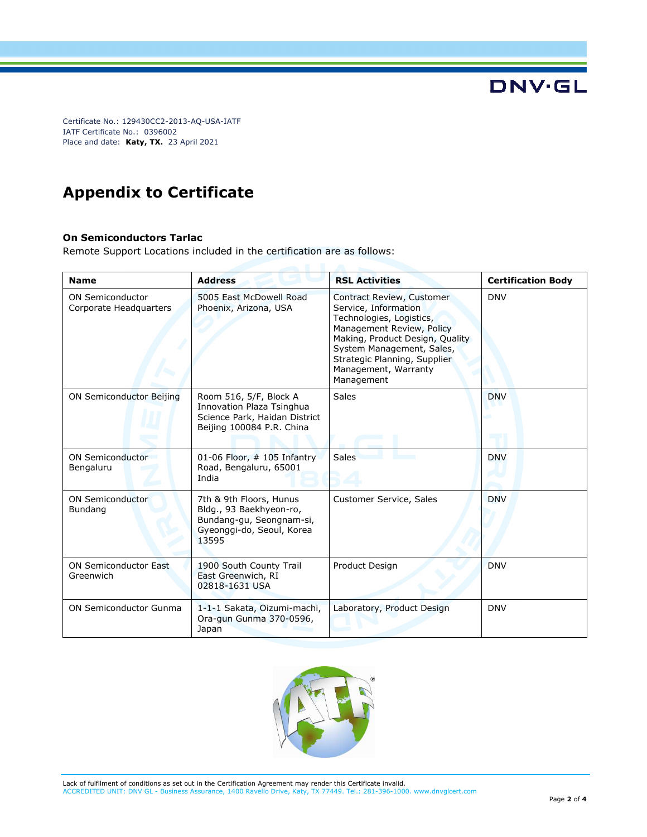Certificate No.: 129430CC2-2013-AQ-USA-IATF IATF Certificate No.: 0396002 Place and date: **Katy, TX.** 23 April 2021

### **Appendix to Certificate**

#### **On Semiconductors Tarlac**

Remote Support Locations included in the certification are as follows:

| <b>Name</b>                                       | <b>Address</b>                                                                                                       | <b>RSL Activities</b>                                                                                                                                                                                                                            | <b>Certification Body</b> |
|---------------------------------------------------|----------------------------------------------------------------------------------------------------------------------|--------------------------------------------------------------------------------------------------------------------------------------------------------------------------------------------------------------------------------------------------|---------------------------|
| <b>ON Semiconductor</b><br>Corporate Headquarters | 5005 East McDowell Road<br>Phoenix, Arizona, USA                                                                     | Contract Review, Customer<br>Service, Information<br>Technologies, Logistics,<br>Management Review, Policy<br>Making, Product Design, Quality<br>System Management, Sales,<br>Strategic Planning, Supplier<br>Management, Warranty<br>Management | <b>DNV</b>                |
| <b>ON Semiconductor Beijing</b>                   | Room 516, 5/F, Block A<br>Innovation Plaza Tsinghua<br>Science Park, Haidan District<br>Beijing 100084 P.R. China    | <b>Sales</b>                                                                                                                                                                                                                                     | <b>DNV</b>                |
| <b>ON Semiconductor</b><br>Bengaluru              | 01-06 Floor, $#$ 105 Infantry<br>Road, Bengaluru, 65001<br>India                                                     | Sales                                                                                                                                                                                                                                            | <b>DNV</b>                |
| <b>ON Semiconductor</b><br>Bundang                | 7th & 9th Floors, Hunus<br>Bldg., 93 Baekhyeon-ro,<br>Bundang-gu, Seongnam-si,<br>Gyeonggi-do, Seoul, Korea<br>13595 | Customer Service, Sales                                                                                                                                                                                                                          | <b>DNV</b>                |
| <b>ON Semiconductor East</b><br>Greenwich         | 1900 South County Trail<br>East Greenwich, RI<br>02818-1631 USA                                                      | Product Design                                                                                                                                                                                                                                   | <b>DNV</b>                |
| ON Semiconductor Gunma                            | 1-1-1 Sakata, Oizumi-machi,<br>Ora-gun Gunma 370-0596,<br>Japan                                                      | Laboratory, Product Design                                                                                                                                                                                                                       | <b>DNV</b>                |



Lack of fulfilment of conditions as set out in the Certification Agreement may render this Certificate invalid.<br>ACCREDITED UNIT: DNV GL - Business Assurance, 1400 Ravello Drive, Katy, TX 77449. Tel.: 281-396-1000 ssurance, 1400 Ravello Drive, Katy, TX 77449. Tel.: 281-396-1000. www.dnvglcert.com **DNV·GL**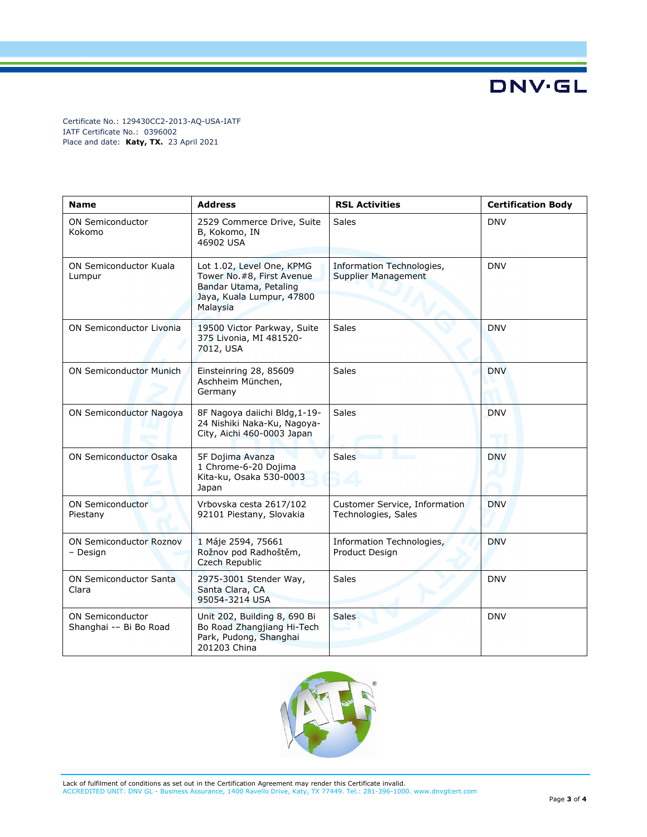**DNV·GL** 

Certificate No.: 129430CC2-2013-AQ-USA-IATF IATF Certificate No.: 0396002 Place and date: **Katy, TX.** 23 April 2021

| <b>Name</b>                                       | <b>Address</b>                                                                                                             | <b>RSL Activities</b>                                   | <b>Certification Body</b> |
|---------------------------------------------------|----------------------------------------------------------------------------------------------------------------------------|---------------------------------------------------------|---------------------------|
| <b>ON Semiconductor</b><br>Kokomo                 | 2529 Commerce Drive, Suite<br>B, Kokomo, IN<br>46902 USA                                                                   | <b>Sales</b>                                            | <b>DNV</b>                |
| ON Semiconductor Kuala<br>Lumpur                  | Lot 1.02, Level One, KPMG<br>Tower No. #8, First Avenue<br>Bandar Utama, Petaling<br>Jaya, Kuala Lumpur, 47800<br>Malaysia | Information Technologies,<br><b>Supplier Management</b> | <b>DNV</b>                |
| ON Semiconductor Livonia                          | 19500 Victor Parkway, Suite<br>375 Livonia, MI 481520-<br>7012, USA                                                        | <b>Sales</b>                                            | <b>DNV</b>                |
| <b>ON Semiconductor Munich</b>                    | Einsteinring 28, 85609<br>Aschheim München,<br>Germany                                                                     | Sales                                                   | <b>DNV</b>                |
| ON Semiconductor Nagoya                           | 8F Nagoya daiichi Bldg, 1-19-<br>24 Nishiki Naka-Ku, Nagoya-<br>City, Aichi 460-0003 Japan                                 | <b>Sales</b>                                            | <b>DNV</b>                |
| <b>ON Semiconductor Osaka</b>                     | 5F Dojima Avanza<br>1 Chrome-6-20 Dojima<br>Kita-ku, Osaka 530-0003<br>Japan                                               | <b>Sales</b>                                            | <b>DNV</b>                |
| <b>ON Semiconductor</b><br>Piestany               | Vrbovska cesta 2617/102<br>92101 Piestany, Slovakia                                                                        | Customer Service, Information<br>Technologies, Sales    | <b>DNV</b>                |
| <b>ON Semiconductor Roznov</b><br>- Design        | 1 Máje 2594, 75661<br>Rožnov pod Radhoštěm,<br><b>Czech Republic</b>                                                       | Information Technologies,<br>Product Design             | <b>DNV</b>                |
| <b>ON Semiconductor Santa</b><br>Clara            | 2975-3001 Stender Way,<br>Santa Clara, CA<br>95054-3214 USA                                                                | Sales                                                   | <b>DNV</b>                |
| <b>ON Semiconductor</b><br>Shanghai -- Bi Bo Road | Unit 202, Building 8, 690 Bi<br>Bo Road Zhangjiang Hi-Tech<br>Park, Pudong, Shanghai<br>201203 China                       | <b>Sales</b>                                            | <b>DNV</b>                |



Lack of fulfilment of conditions as set out in the Certification Agreement may render this Certificate invalid.<br>ACCREDITED UNIT: DNV GL - Business Assurance, 1400 Ravello Drive, Katy, TX 77449. Tel.: 281-396-1000. www.dnvg